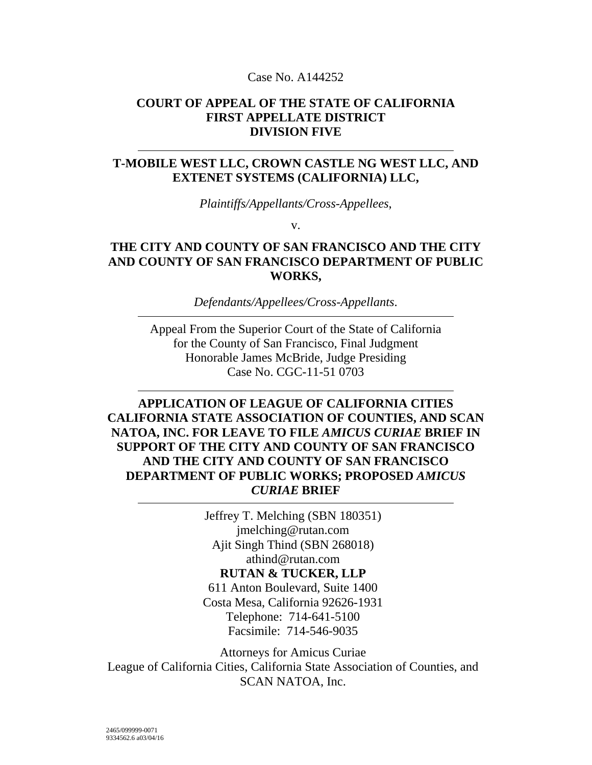#### Case No. A144252

### **COURT OF APPEAL OF THE STATE OF CALIFORNIA FIRST APPELLATE DISTRICT DIVISION FIVE**

### **T-MOBILE WEST LLC, CROWN CASTLE NG WEST LLC, AND EXTENET SYSTEMS (CALIFORNIA) LLC,**

*Plaintiffs/Appellants/Cross-Appellees*,

v.

## **THE CITY AND COUNTY OF SAN FRANCISCO AND THE CITY AND COUNTY OF SAN FRANCISCO DEPARTMENT OF PUBLIC WORKS,**

*Defendants/Appellees/Cross-Appellants*.

Appeal From the Superior Court of the State of California for the County of San Francisco, Final Judgment Honorable James McBride, Judge Presiding Case No. CGC-11-51 0703

## **APPLICATION OF LEAGUE OF CALIFORNIA CITIES CALIFORNIA STATE ASSOCIATION OF COUNTIES, AND SCAN NATOA, INC. FOR LEAVE TO FILE** *AMICUS CURIAE* **BRIEF IN SUPPORT OF THE CITY AND COUNTY OF SAN FRANCISCO AND THE CITY AND COUNTY OF SAN FRANCISCO DEPARTMENT OF PUBLIC WORKS; PROPOSED** *AMICUS CURIAE* **BRIEF**

Jeffrey T. Melching (SBN 180351) jmelching@rutan.com Ajit Singh Thind (SBN 268018) athind@rutan.com **RUTAN & TUCKER, LLP** 611 Anton Boulevard, Suite 1400 Costa Mesa, California 92626-1931 Telephone: 714-641-5100 Facsimile: 714-546-9035

Attorneys for Amicus Curiae League of California Cities, California State Association of Counties, and SCAN NATOA, Inc.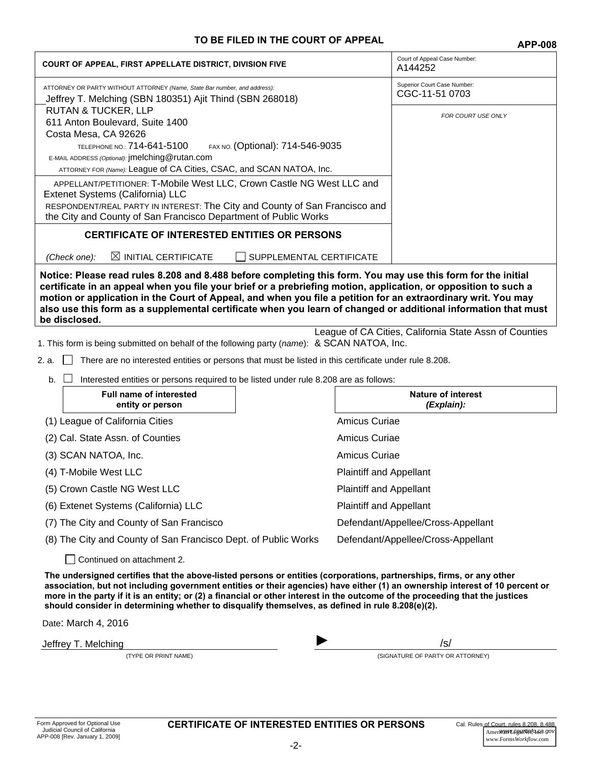#### **TO BE FILED IN THE COURT OF APPEAL <b>APP-008**

|                                                                                                                                                                                                                                                                                                                                                                                                                                                                                           | APP-UU8                                                |
|-------------------------------------------------------------------------------------------------------------------------------------------------------------------------------------------------------------------------------------------------------------------------------------------------------------------------------------------------------------------------------------------------------------------------------------------------------------------------------------------|--------------------------------------------------------|
| <b>COURT OF APPEAL, FIRST APPELLATE DISTRICT, DIVISION FIVE</b>                                                                                                                                                                                                                                                                                                                                                                                                                           | Court of Appeal Case Number:<br>A144252                |
| ATTORNEY OR PARTY WITHOUT ATTORNEY (Name, State Bar number, and address):<br>Jeffrey T. Melching (SBN 180351) Ajit Thind (SBN 268018)                                                                                                                                                                                                                                                                                                                                                     | Superior Court Case Number:<br>CGC-11-51 0703          |
| <b>RUTAN &amp; TUCKER, LLP</b><br>611 Anton Boulevard, Suite 1400                                                                                                                                                                                                                                                                                                                                                                                                                         | FOR COURT USE ONLY                                     |
| Costa Mesa, CA 92626                                                                                                                                                                                                                                                                                                                                                                                                                                                                      |                                                        |
| <b>TELEPHONE NO.: 714-641-5100</b><br>FAX NO. (Optional): 714-546-9035<br>E-MAIL ADDRESS (Optional): jmelching@rutan.com                                                                                                                                                                                                                                                                                                                                                                  |                                                        |
| ATTORNEY FOR (Name): League of CA Cities, CSAC, and SCAN NATOA, Inc.                                                                                                                                                                                                                                                                                                                                                                                                                      |                                                        |
| APPELLANT/PETITIONER: T-Mobile West LLC, Crown Castle NG West LLC and                                                                                                                                                                                                                                                                                                                                                                                                                     |                                                        |
| Extenet Systems (California) LLC<br>RESPONDENT/REAL PARTY IN INTEREST: The City and County of San Francisco and                                                                                                                                                                                                                                                                                                                                                                           |                                                        |
| the City and County of San Francisco Department of Public Works                                                                                                                                                                                                                                                                                                                                                                                                                           |                                                        |
| <b>CERTIFICATE OF INTERESTED ENTITIES OR PERSONS</b>                                                                                                                                                                                                                                                                                                                                                                                                                                      |                                                        |
| $\boxtimes$ INITIAL CERTIFICATE<br>SUPPLEMENTAL CERTIFICATE<br>(Check one):                                                                                                                                                                                                                                                                                                                                                                                                               |                                                        |
| Notice: Please read rules 8.208 and 8.488 before completing this form. You may use this form for the initial<br>certificate in an appeal when you file your brief or a prebriefing motion, application, or opposition to such a<br>motion or application in the Court of Appeal, and when you file a petition for an extraordinary writ. You may<br>also use this form as a supplemental certificate when you learn of changed or additional information that must<br>be disclosed.       |                                                        |
| 1. This form is being submitted on behalf of the following party (name): & SCAN NATOA, Inc.                                                                                                                                                                                                                                                                                                                                                                                               | League of CA Cities, California State Assn of Counties |
| 2. a.<br>There are no interested entities or persons that must be listed in this certificate under rule 8.208.                                                                                                                                                                                                                                                                                                                                                                            |                                                        |
| b.<br>Interested entities or persons required to be listed under rule 8.208 are as follows:                                                                                                                                                                                                                                                                                                                                                                                               |                                                        |
| <b>Full name of interested</b>                                                                                                                                                                                                                                                                                                                                                                                                                                                            | <b>Nature of interest</b>                              |
| entity or person                                                                                                                                                                                                                                                                                                                                                                                                                                                                          | (Explain):                                             |
| (1) League of California Cities                                                                                                                                                                                                                                                                                                                                                                                                                                                           | Amicus Curiae                                          |
| (2) Cal. State Assn. of Counties                                                                                                                                                                                                                                                                                                                                                                                                                                                          | Amicus Curiae                                          |
| (3) SCAN NATOA, Inc.                                                                                                                                                                                                                                                                                                                                                                                                                                                                      | Amicus Curiae                                          |
| (4) T-Mobile West LLC                                                                                                                                                                                                                                                                                                                                                                                                                                                                     | <b>Plaintiff and Appellant</b>                         |
| (5) Crown Castle NG West LLC                                                                                                                                                                                                                                                                                                                                                                                                                                                              | <b>Plaintiff and Appellant</b>                         |
| (6) Extenet Systems (California) LLC                                                                                                                                                                                                                                                                                                                                                                                                                                                      | <b>Plaintiff and Appellant</b>                         |
| (7) The City and County of San Francisco                                                                                                                                                                                                                                                                                                                                                                                                                                                  | Defendant/Appellee/Cross-Appellant                     |
| (8) The City and County of San Francisco Dept. of Public Works                                                                                                                                                                                                                                                                                                                                                                                                                            | Defendant/Appellee/Cross-Appellant                     |
| Continued on attachment 2.                                                                                                                                                                                                                                                                                                                                                                                                                                                                |                                                        |
| The undersigned certifies that the above-listed persons or entities (corporations, partnerships, firms, or any other<br>association, but not including government entities or their agencies) have either (1) an ownership interest of 10 percent or<br>more in the party if it is an entity; or (2) a financial or other interest in the outcome of the proceeding that the justices<br>should consider in determining whether to disqualify themselves, as defined in rule 8.208(e)(2). |                                                        |

Date: March 4, 2016

Jeffrey T. Melching *IS/* /s/

(TYPE OR PRINT NAME) (SIGNATURE OF PARTY OR ATTORNEY)

CERTIFICATE OF INTERESTED ENTITIES OR PERSONS Cal. Rules of Court, rules 8.208, 8.488,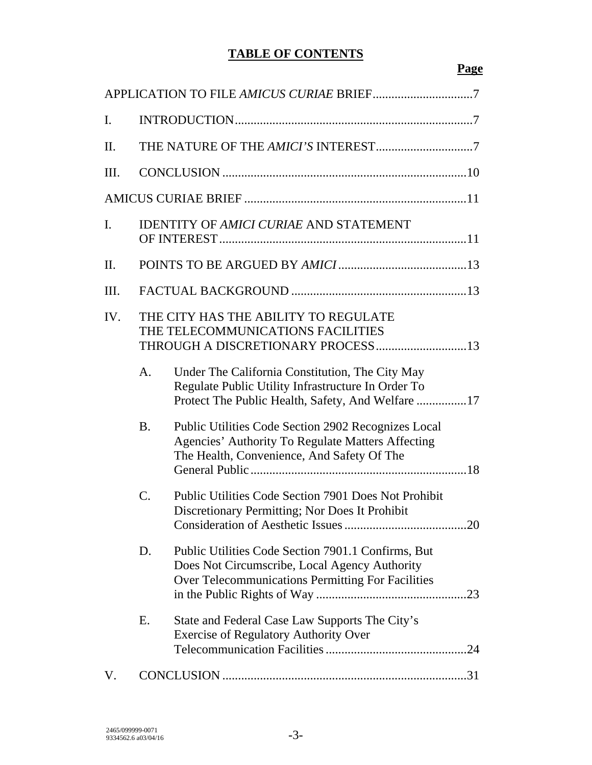# **TABLE OF CONTENTS**

## **Page**

| I.              |                 |                                                                                                                                                          |
|-----------------|-----------------|----------------------------------------------------------------------------------------------------------------------------------------------------------|
| Π.              |                 |                                                                                                                                                          |
| III.            |                 |                                                                                                                                                          |
|                 |                 |                                                                                                                                                          |
| I.              |                 | <b>IDENTITY OF AMICI CURIAE AND STATEMENT</b>                                                                                                            |
| $\mathbf{II}$ . |                 |                                                                                                                                                          |
| III.            |                 |                                                                                                                                                          |
| IV.             |                 | THE CITY HAS THE ABILITY TO REGULATE<br>THE TELECOMMUNICATIONS FACILITIES                                                                                |
|                 | A <sub>1</sub>  | Under The California Constitution, The City May<br>Regulate Public Utility Infrastructure In Order To                                                    |
|                 | <b>B.</b>       | Public Utilities Code Section 2902 Recognizes Local<br>Agencies' Authority To Regulate Matters Affecting<br>The Health, Convenience, And Safety Of The   |
|                 | $\mathcal{C}$ . | <b>Public Utilities Code Section 7901 Does Not Prohibit</b><br>Discretionary Permitting; Nor Does It Prohibit                                            |
|                 | D.              | Public Utilities Code Section 7901.1 Confirms, But<br>Does Not Circumscribe, Local Agency Authority<br>Over Telecommunications Permitting For Facilities |
|                 | Е.              | State and Federal Case Law Supports The City's<br><b>Exercise of Regulatory Authority Over</b>                                                           |
| V.              |                 |                                                                                                                                                          |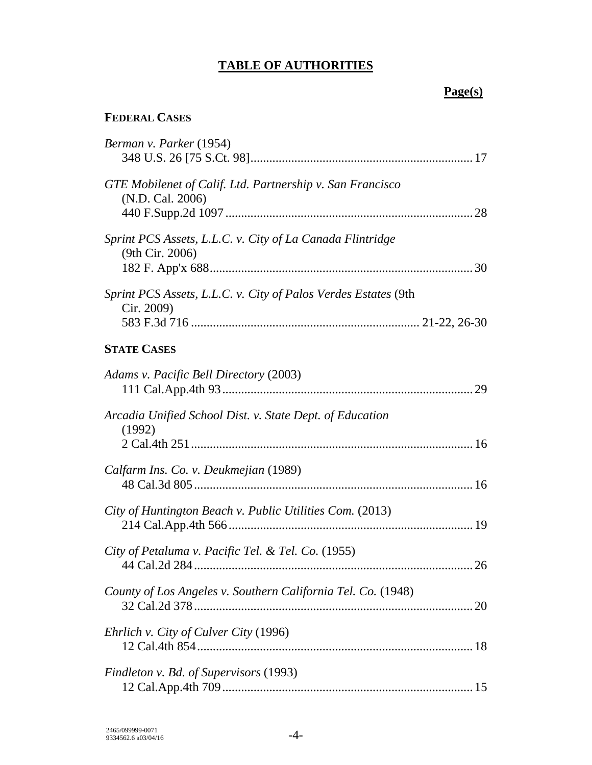# **TABLE OF AUTHORITIES**

# **Page(s)**

# **FEDERAL CASES**

| Berman v. Parker (1954)                                                       |
|-------------------------------------------------------------------------------|
| GTE Mobilenet of Calif. Ltd. Partnership v. San Francisco<br>(N.D. Cal. 2006) |
| Sprint PCS Assets, L.L.C. v. City of La Canada Flintridge<br>(9th Cir. 2006)  |
| Sprint PCS Assets, L.L.C. v. City of Palos Verdes Estates (9th<br>Cir. 2009)  |
| <b>STATE CASES</b>                                                            |
| Adams v. Pacific Bell Directory (2003)                                        |
| Arcadia Unified School Dist. v. State Dept. of Education<br>(1992)            |
| Calfarm Ins. Co. v. Deukmejian (1989)                                         |
| City of Huntington Beach v. Public Utilities Com. (2013)                      |
| City of Petaluma v. Pacific Tel. & Tel. Co. (1955)                            |
| County of Los Angeles v. Southern California Tel. Co. (1948)<br>20            |
| Ehrlich v. City of Culver City (1996)                                         |
| Findleton v. Bd. of Supervisors (1993)                                        |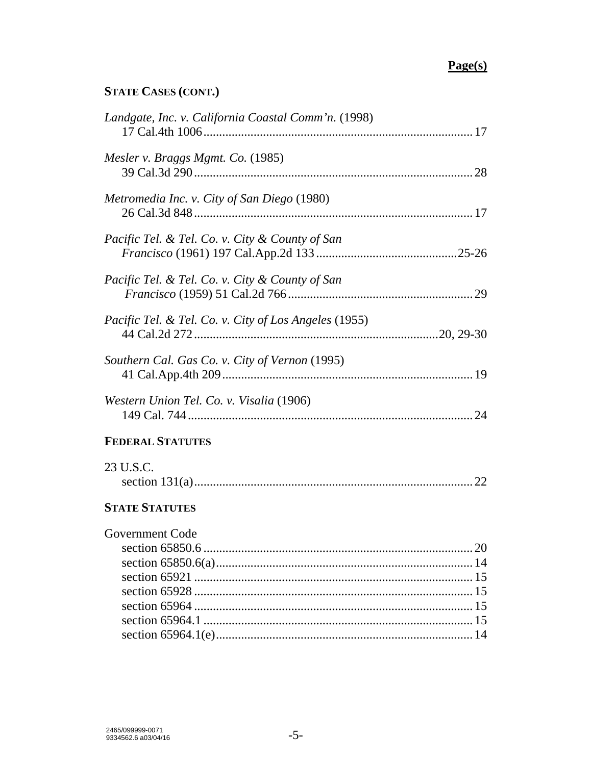## **STATE CASES (CONT.)**

| Landgate, Inc. v. California Coastal Comm'n. (1998)   |  |
|-------------------------------------------------------|--|
| Mesler v. Braggs Mgmt. Co. (1985)                     |  |
| Metromedia Inc. v. City of San Diego (1980)           |  |
| Pacific Tel. & Tel. Co. v. City & County of San       |  |
| Pacific Tel. & Tel. Co. v. City & County of San       |  |
| Pacific Tel. & Tel. Co. v. City of Los Angeles (1955) |  |
| Southern Cal. Gas Co. v. City of Vernon (1995)        |  |
| Western Union Tel. Co. v. Visalia (1906)              |  |
| <b>FEDERAL STATUTES</b>                               |  |
| 23 U.S.C.                                             |  |
| <b>STATE STATUTES</b>                                 |  |
| <b>Government Code</b>                                |  |

section 65964 ......................................................................................... 15 section 65964.1 ...................................................................................... 15 section 65964.1(e) .................................................................................. 14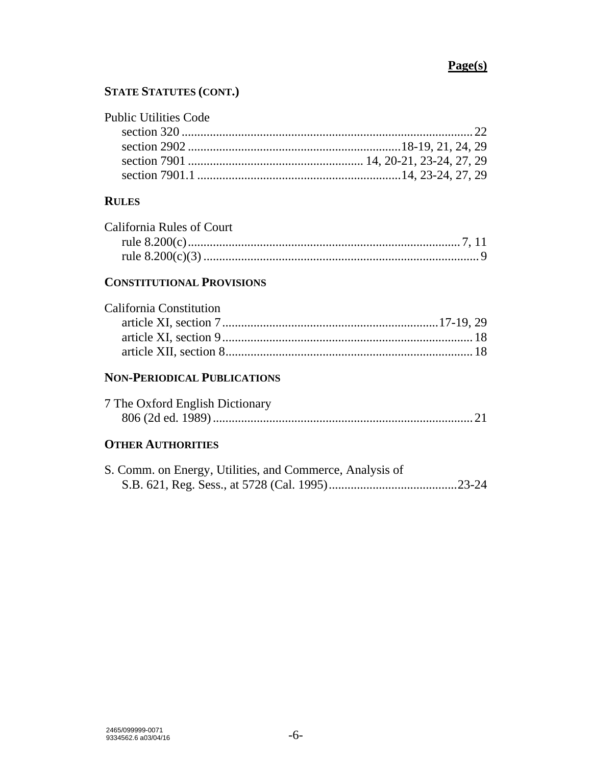## **STATE STATUTES (CONT.)**

| <b>Public Utilities Code</b> |  |
|------------------------------|--|
|                              |  |
|                              |  |
|                              |  |
|                              |  |

### **RULES**

| California Rules of Court |  |
|---------------------------|--|
|                           |  |
|                           |  |

## **CONSTITUTIONAL PROVISIONS**

| California Constitution |  |
|-------------------------|--|
|                         |  |
|                         |  |
|                         |  |

# **NON-PERIODICAL PUBLICATIONS**

| 7 The Oxford English Dictionary |  |
|---------------------------------|--|
|                                 |  |

# **OTHER AUTHORITIES**

| S. Comm. on Energy, Utilities, and Commerce, Analysis of |  |
|----------------------------------------------------------|--|
|                                                          |  |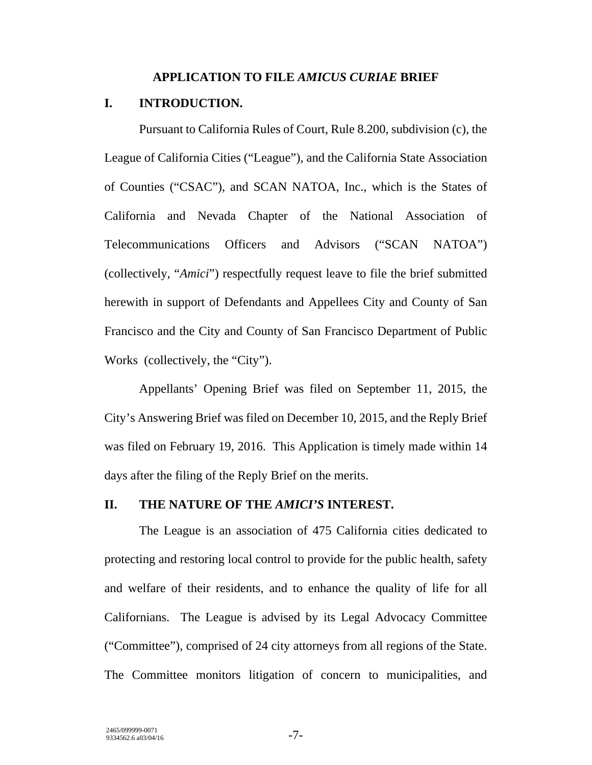#### **APPLICATION TO FILE** *AMICUS CURIAE* **BRIEF**

### **I. INTRODUCTION.**

Pursuant to California Rules of Court, Rule 8.200, subdivision (c), the League of California Cities ("League"), and the California State Association of Counties ("CSAC"), and SCAN NATOA, Inc., which is the States of California and Nevada Chapter of the National Association of Telecommunications Officers and Advisors ("SCAN NATOA") (collectively, "*Amici*") respectfully request leave to file the brief submitted herewith in support of Defendants and Appellees City and County of San Francisco and the City and County of San Francisco Department of Public Works (collectively, the "City").

Appellants' Opening Brief was filed on September 11, 2015, the City's Answering Brief was filed on December 10, 2015, and the Reply Brief was filed on February 19, 2016. This Application is timely made within 14 days after the filing of the Reply Brief on the merits.

#### **II. THE NATURE OF THE** *AMICI'S* **INTEREST.**

The League is an association of 475 California cities dedicated to protecting and restoring local control to provide for the public health, safety and welfare of their residents, and to enhance the quality of life for all Californians. The League is advised by its Legal Advocacy Committee ("Committee"), comprised of 24 city attorneys from all regions of the State. The Committee monitors litigation of concern to municipalities, and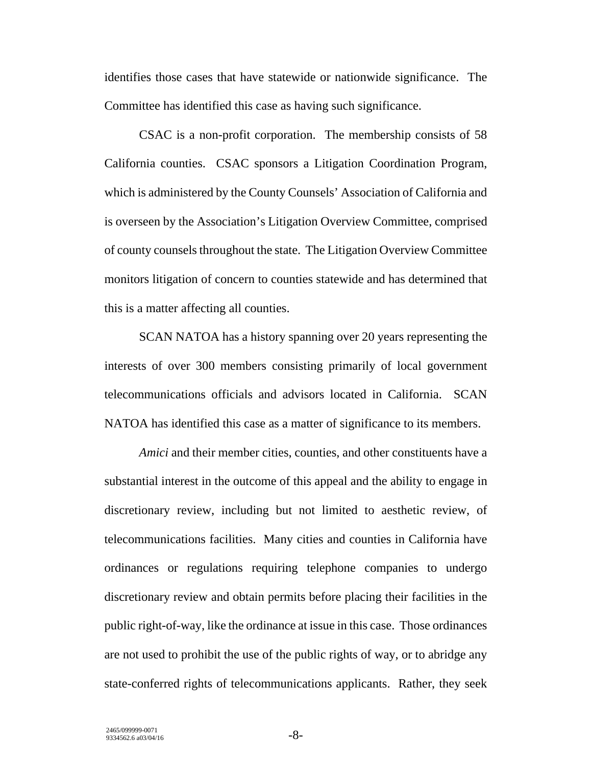identifies those cases that have statewide or nationwide significance. The Committee has identified this case as having such significance.

CSAC is a non-profit corporation. The membership consists of 58 California counties. CSAC sponsors a Litigation Coordination Program, which is administered by the County Counsels' Association of California and is overseen by the Association's Litigation Overview Committee, comprised of county counsels throughout the state. The Litigation Overview Committee monitors litigation of concern to counties statewide and has determined that this is a matter affecting all counties.

SCAN NATOA has a history spanning over 20 years representing the interests of over 300 members consisting primarily of local government telecommunications officials and advisors located in California. SCAN NATOA has identified this case as a matter of significance to its members.

*Amici* and their member cities, counties, and other constituents have a substantial interest in the outcome of this appeal and the ability to engage in discretionary review, including but not limited to aesthetic review, of telecommunications facilities. Many cities and counties in California have ordinances or regulations requiring telephone companies to undergo discretionary review and obtain permits before placing their facilities in the public right-of-way, like the ordinance at issue in this case. Those ordinances are not used to prohibit the use of the public rights of way, or to abridge any state-conferred rights of telecommunications applicants. Rather, they seek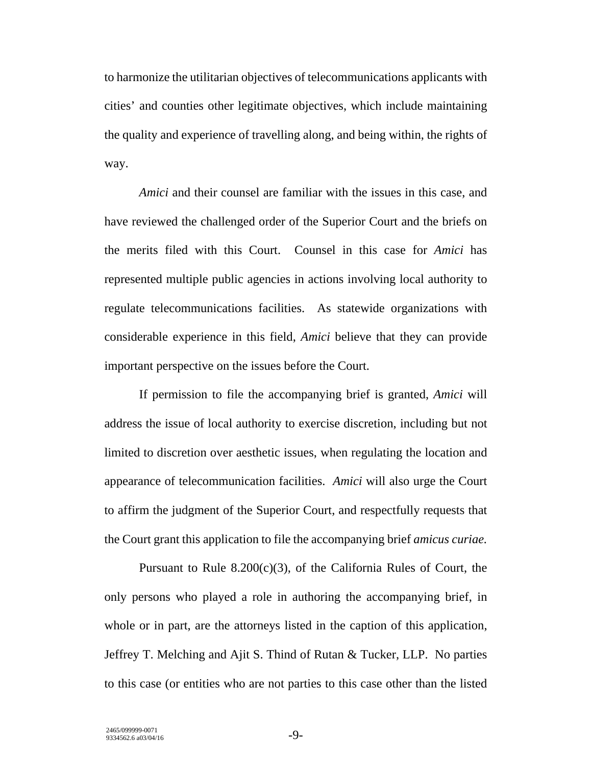to harmonize the utilitarian objectives of telecommunications applicants with cities' and counties other legitimate objectives, which include maintaining the quality and experience of travelling along, and being within, the rights of way.

*Amici* and their counsel are familiar with the issues in this case, and have reviewed the challenged order of the Superior Court and the briefs on the merits filed with this Court. Counsel in this case for *Amici* has represented multiple public agencies in actions involving local authority to regulate telecommunications facilities. As statewide organizations with considerable experience in this field, *Amici* believe that they can provide important perspective on the issues before the Court.

If permission to file the accompanying brief is granted, *Amici* will address the issue of local authority to exercise discretion, including but not limited to discretion over aesthetic issues, when regulating the location and appearance of telecommunication facilities. *Amici* will also urge the Court to affirm the judgment of the Superior Court, and respectfully requests that the Court grant this application to file the accompanying brief *amicus curiae.*

Pursuant to Rule 8.200(c)(3), of the California Rules of Court, the only persons who played a role in authoring the accompanying brief, in whole or in part, are the attorneys listed in the caption of this application, Jeffrey T. Melching and Ajit S. Thind of Rutan & Tucker, LLP. No parties to this case (or entities who are not parties to this case other than the listed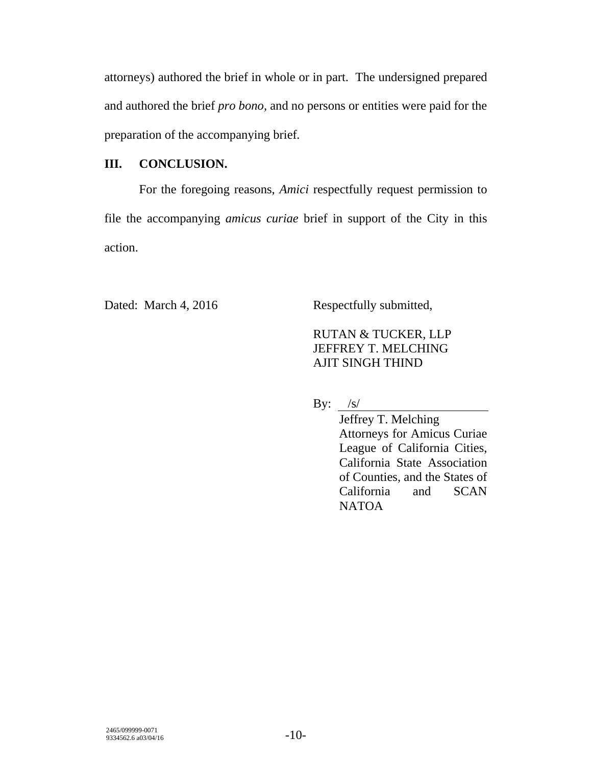attorneys) authored the brief in whole or in part. The undersigned prepared and authored the brief *pro bono,* and no persons or entities were paid for the preparation of the accompanying brief*.*

## **III. CONCLUSION.**

For the foregoing reasons, *Amici* respectfully request permission to file the accompanying *amicus curiae* brief in support of the City in this action.

Dated: March 4, 2016 Respectfully submitted,

# RUTAN & TUCKER, LLP JEFFREY T. MELCHING AJIT SINGH THIND

By:  $/s/$ 

Jeffrey T. Melching Attorneys for Amicus Curiae League of California Cities, California State Association of Counties, and the States of California and SCAN NATOA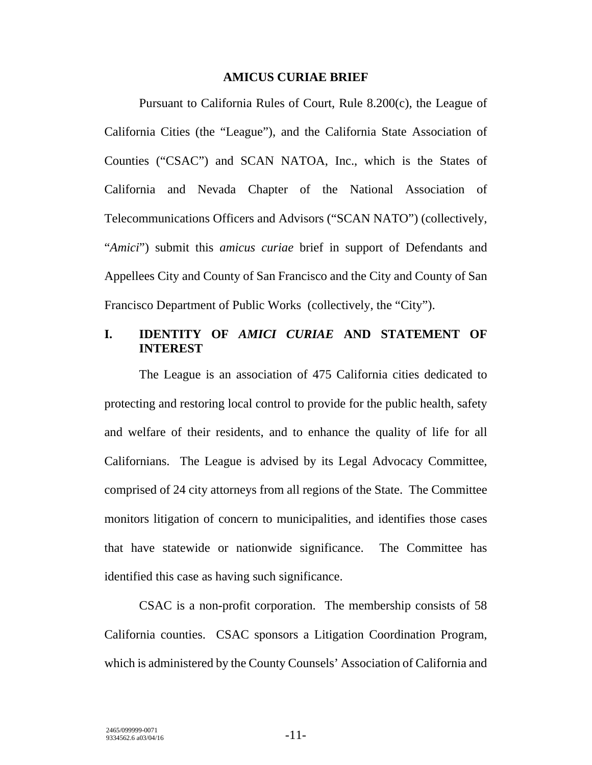#### **AMICUS CURIAE BRIEF**

Pursuant to California Rules of Court, Rule 8.200(c), the League of California Cities (the "League"), and the California State Association of Counties ("CSAC") and SCAN NATOA, Inc., which is the States of California and Nevada Chapter of the National Association of Telecommunications Officers and Advisors ("SCAN NATO") (collectively, "*Amici*") submit this *amicus curiae* brief in support of Defendants and Appellees City and County of San Francisco and the City and County of San Francisco Department of Public Works (collectively, the "City").

## **I. IDENTITY OF** *AMICI CURIAE* **AND STATEMENT OF INTEREST**

The League is an association of 475 California cities dedicated to protecting and restoring local control to provide for the public health, safety and welfare of their residents, and to enhance the quality of life for all Californians. The League is advised by its Legal Advocacy Committee, comprised of 24 city attorneys from all regions of the State. The Committee monitors litigation of concern to municipalities, and identifies those cases that have statewide or nationwide significance. The Committee has identified this case as having such significance.

CSAC is a non-profit corporation. The membership consists of 58 California counties. CSAC sponsors a Litigation Coordination Program, which is administered by the County Counsels' Association of California and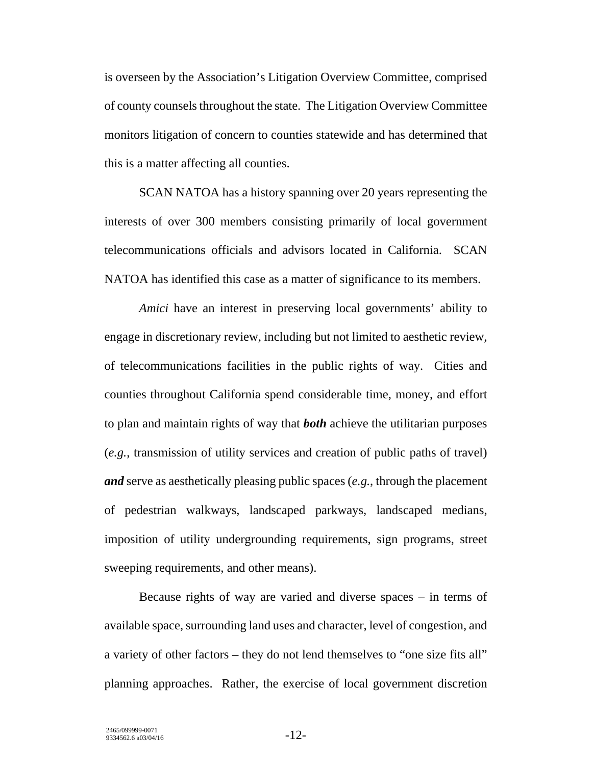is overseen by the Association's Litigation Overview Committee, comprised of county counsels throughout the state. The Litigation Overview Committee monitors litigation of concern to counties statewide and has determined that this is a matter affecting all counties.

SCAN NATOA has a history spanning over 20 years representing the interests of over 300 members consisting primarily of local government telecommunications officials and advisors located in California. SCAN NATOA has identified this case as a matter of significance to its members.

*Amici* have an interest in preserving local governments' ability to engage in discretionary review, including but not limited to aesthetic review, of telecommunications facilities in the public rights of way. Cities and counties throughout California spend considerable time, money, and effort to plan and maintain rights of way that *both* achieve the utilitarian purposes (*e.g.*, transmission of utility services and creation of public paths of travel) *and* serve as aesthetically pleasing public spaces (*e.g.*, through the placement of pedestrian walkways, landscaped parkways, landscaped medians, imposition of utility undergrounding requirements, sign programs, street sweeping requirements, and other means).

Because rights of way are varied and diverse spaces – in terms of available space, surrounding land uses and character, level of congestion, and a variety of other factors – they do not lend themselves to "one size fits all" planning approaches. Rather, the exercise of local government discretion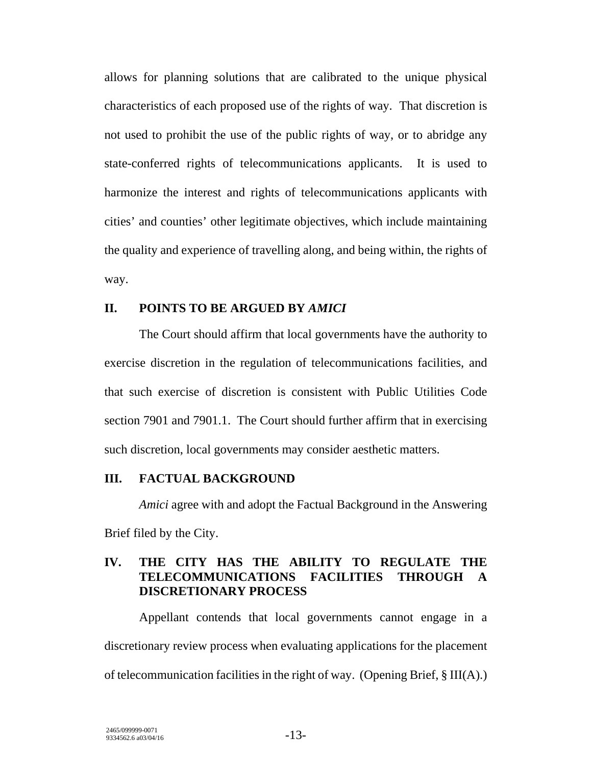allows for planning solutions that are calibrated to the unique physical characteristics of each proposed use of the rights of way. That discretion is not used to prohibit the use of the public rights of way, or to abridge any state-conferred rights of telecommunications applicants. It is used to harmonize the interest and rights of telecommunications applicants with cities' and counties' other legitimate objectives, which include maintaining the quality and experience of travelling along, and being within, the rights of way.

#### **II. POINTS TO BE ARGUED BY** *AMICI*

The Court should affirm that local governments have the authority to exercise discretion in the regulation of telecommunications facilities, and that such exercise of discretion is consistent with Public Utilities Code section 7901 and 7901.1. The Court should further affirm that in exercising such discretion, local governments may consider aesthetic matters.

### **III. FACTUAL BACKGROUND**

*Amici* agree with and adopt the Factual Background in the Answering Brief filed by the City.

### **IV. THE CITY HAS THE ABILITY TO REGULATE THE TELECOMMUNICATIONS FACILITIES THROUGH A DISCRETIONARY PROCESS**

Appellant contends that local governments cannot engage in a discretionary review process when evaluating applications for the placement of telecommunication facilities in the right of way. (Opening Brief, § III(A).)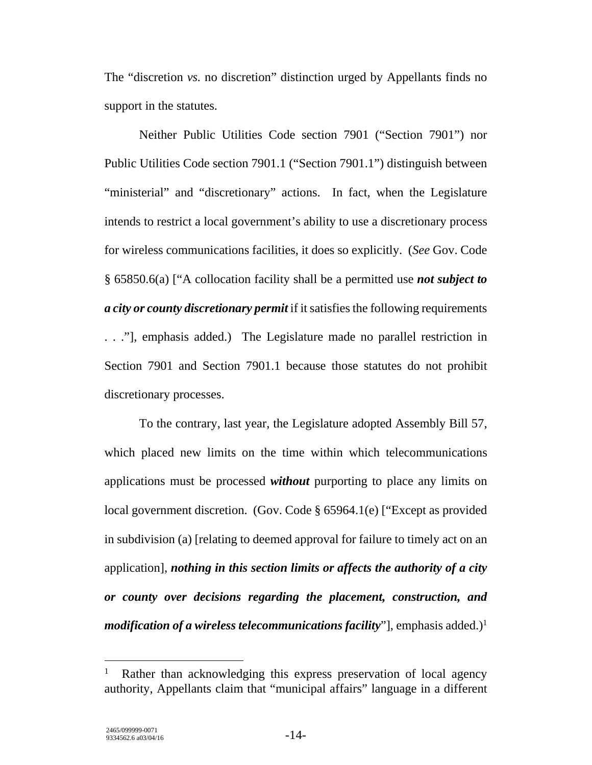The "discretion *vs.* no discretion" distinction urged by Appellants finds no support in the statutes.

Neither Public Utilities Code section 7901 ("Section 7901") nor Public Utilities Code section 7901.1 ("Section 7901.1") distinguish between "ministerial" and "discretionary" actions. In fact, when the Legislature intends to restrict a local government's ability to use a discretionary process for wireless communications facilities, it does so explicitly. (*See* Gov. Code § 65850.6(a) ["A collocation facility shall be a permitted use *not subject to a city or county discretionary permit* if it satisfies the following requirements . . ."], emphasis added.) The Legislature made no parallel restriction in Section 7901 and Section 7901.1 because those statutes do not prohibit discretionary processes.

To the contrary, last year, the Legislature adopted Assembly Bill 57, which placed new limits on the time within which telecommunications applications must be processed *without* purporting to place any limits on local government discretion. (Gov. Code § 65964.1(e) ["Except as provided in subdivision (a) [relating to deemed approval for failure to timely act on an application], *nothing in this section limits or affects the authority of a city or county over decisions regarding the placement, construction, and modification of a wireless telecommunications facility*"], emphasis added.) $^1$ 

<sup>1</sup> Rather than acknowledging this express preservation of local agency authority, Appellants claim that "municipal affairs" language in a different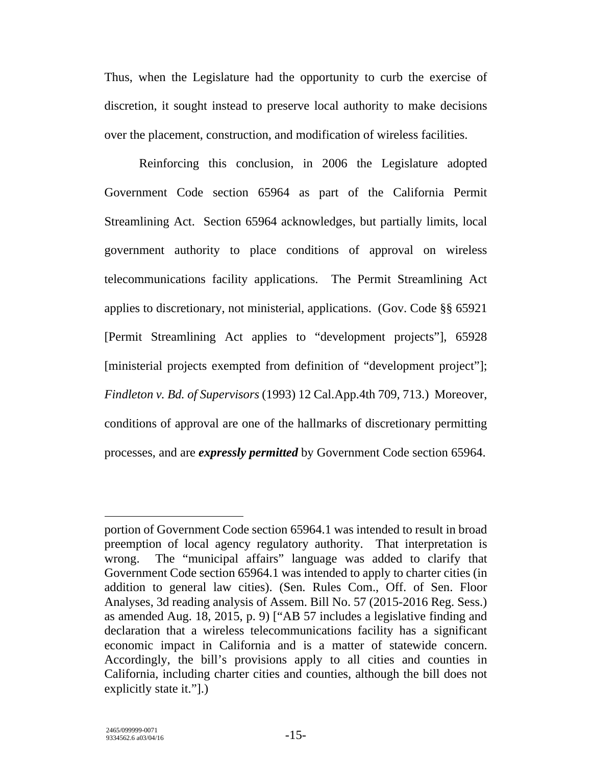Thus, when the Legislature had the opportunity to curb the exercise of discretion, it sought instead to preserve local authority to make decisions over the placement, construction, and modification of wireless facilities.

Reinforcing this conclusion, in 2006 the Legislature adopted Government Code section 65964 as part of the California Permit Streamlining Act. Section 65964 acknowledges, but partially limits, local government authority to place conditions of approval on wireless telecommunications facility applications. The Permit Streamlining Act applies to discretionary, not ministerial, applications. (Gov. Code §§ 65921 [Permit Streamlining Act applies to "development projects"], 65928 [ministerial projects exempted from definition of "development project"]; *Findleton v. Bd. of Supervisors* (1993) 12 Cal.App.4th 709, 713.) Moreover, conditions of approval are one of the hallmarks of discretionary permitting processes, and are *expressly permitted* by Government Code section 65964.

 $\overline{a}$ 

portion of Government Code section 65964.1 was intended to result in broad preemption of local agency regulatory authority. That interpretation is wrong. The "municipal affairs" language was added to clarify that Government Code section 65964.1 was intended to apply to charter cities (in addition to general law cities). (Sen. Rules Com., Off. of Sen. Floor Analyses, 3d reading analysis of Assem. Bill No. 57 (2015-2016 Reg. Sess.) as amended Aug. 18, 2015, p. 9) ["AB 57 includes a legislative finding and declaration that a wireless telecommunications facility has a significant economic impact in California and is a matter of statewide concern. Accordingly, the bill's provisions apply to all cities and counties in California, including charter cities and counties, although the bill does not explicitly state it."[.]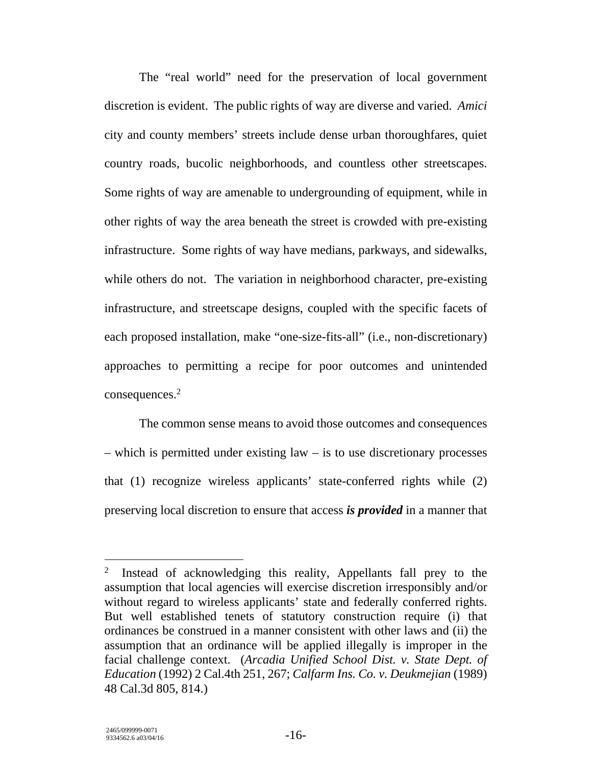The "real world" need for the preservation of local government discretion is evident. The public rights of way are diverse and varied. *Amici* city and county members' streets include dense urban thoroughfares, quiet country roads, bucolic neighborhoods, and countless other streetscapes. Some rights of way are amenable to undergrounding of equipment, while in other rights of way the area beneath the street is crowded with pre-existing infrastructure. Some rights of way have medians, parkways, and sidewalks, while others do not. The variation in neighborhood character, pre-existing infrastructure, and streetscape designs, coupled with the specific facets of each proposed installation, make "one-size-fits-all" (i.e., non-discretionary) approaches to permitting a recipe for poor outcomes and unintended consequences.<sup>2</sup>

The common sense means to avoid those outcomes and consequences – which is permitted under existing law – is to use discretionary processes that (1) recognize wireless applicants' state-conferred rights while (2) preserving local discretion to ensure that access *is provided* in a manner that

<sup>&</sup>lt;sup>2</sup> Instead of acknowledging this reality, Appellants fall prey to the assumption that local agencies will exercise discretion irresponsibly and/or without regard to wireless applicants' state and federally conferred rights. But well established tenets of statutory construction require (i) that ordinances be construed in a manner consistent with other laws and (ii) the assumption that an ordinance will be applied illegally is improper in the facial challenge context. (*Arcadia Unified School Dist. v. State Dept. of Education* (1992) 2 Cal.4th 251, 267; *Calfarm Ins. Co. v. Deukmejian* (1989) 48 Cal.3d 805, 814.)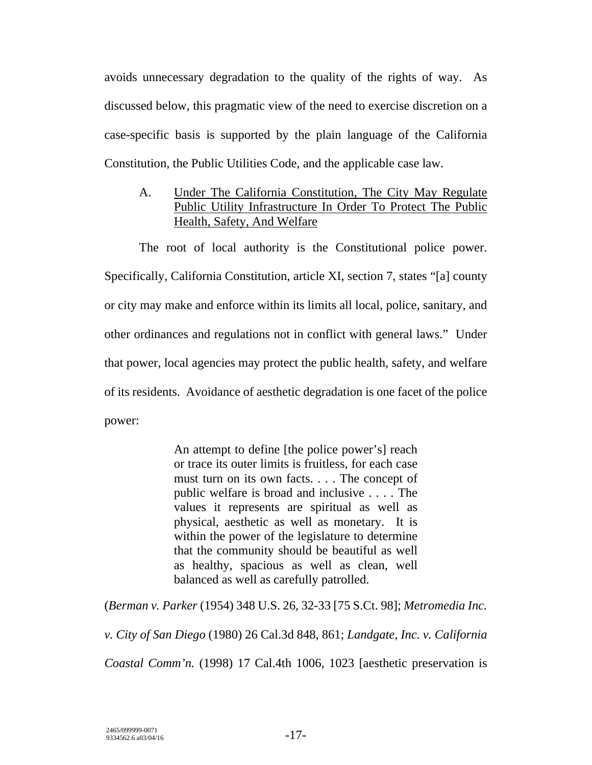avoids unnecessary degradation to the quality of the rights of way. As discussed below, this pragmatic view of the need to exercise discretion on a case-specific basis is supported by the plain language of the California Constitution, the Public Utilities Code, and the applicable case law.

A. Under The California Constitution, The City May Regulate Public Utility Infrastructure In Order To Protect The Public Health, Safety, And Welfare

The root of local authority is the Constitutional police power. Specifically, California Constitution, article XI, section 7, states "[a] county or city may make and enforce within its limits all local, police, sanitary, and other ordinances and regulations not in conflict with general laws." Under that power, local agencies may protect the public health, safety, and welfare of its residents. Avoidance of aesthetic degradation is one facet of the police power:

> An attempt to define [the police power's] reach or trace its outer limits is fruitless, for each case must turn on its own facts. . . . The concept of public welfare is broad and inclusive . . . . The values it represents are spiritual as well as physical, aesthetic as well as monetary. It is within the power of the legislature to determine that the community should be beautiful as well as healthy, spacious as well as clean, well balanced as well as carefully patrolled.

(*Berman v. Parker* (1954) 348 U.S. 26, 32-33 [75 S.Ct. 98]; *Metromedia Inc. v. City of San Diego* (1980) 26 Cal.3d 848, 861; *Landgate, Inc. v. California Coastal Comm'n.* (1998) 17 Cal.4th 1006, 1023 [aesthetic preservation is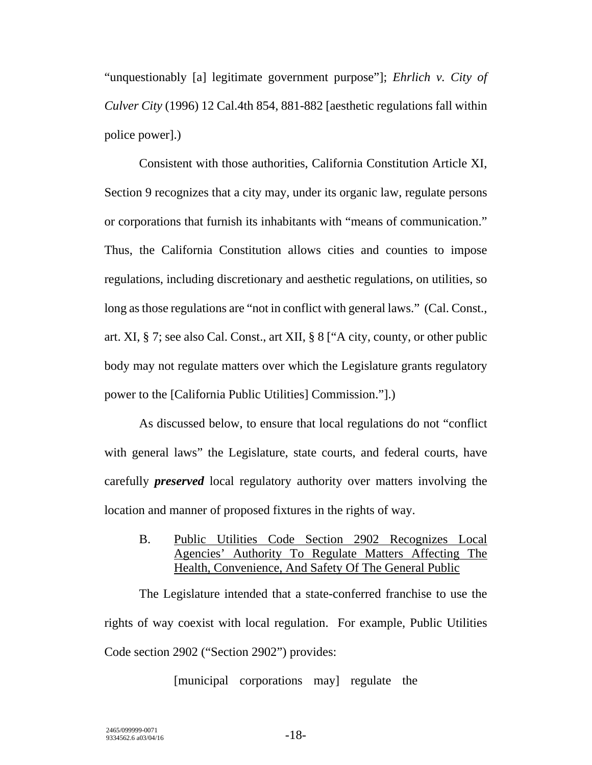"unquestionably [a] legitimate government purpose"]; *Ehrlich v. City of Culver City* (1996) 12 Cal.4th 854, 881-882 [aesthetic regulations fall within police power].)

Consistent with those authorities, California Constitution Article XI, Section 9 recognizes that a city may, under its organic law, regulate persons or corporations that furnish its inhabitants with "means of communication." Thus, the California Constitution allows cities and counties to impose regulations, including discretionary and aesthetic regulations, on utilities, so long as those regulations are "not in conflict with general laws." (Cal. Const., art. XI, § 7; see also Cal. Const., art XII, § 8 ["A city, county, or other public body may not regulate matters over which the Legislature grants regulatory power to the [California Public Utilities] Commission."].)

As discussed below, to ensure that local regulations do not "conflict with general laws" the Legislature, state courts, and federal courts, have carefully *preserved* local regulatory authority over matters involving the location and manner of proposed fixtures in the rights of way.

B. Public Utilities Code Section 2902 Recognizes Local Agencies' Authority To Regulate Matters Affecting The Health, Convenience, And Safety Of The General Public

The Legislature intended that a state-conferred franchise to use the rights of way coexist with local regulation. For example, Public Utilities Code section 2902 ("Section 2902") provides:

[municipal corporations may] regulate the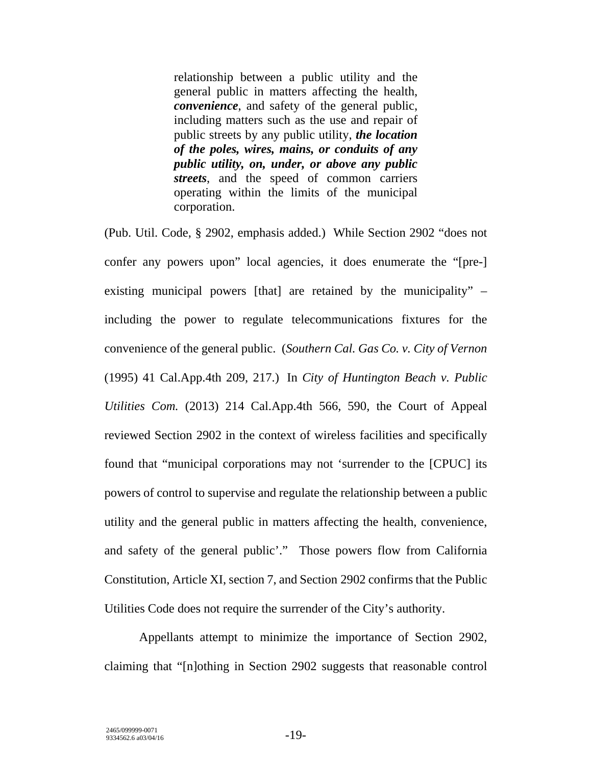relationship between a public utility and the general public in matters affecting the health, *convenience*, and safety of the general public, including matters such as the use and repair of public streets by any public utility, *the location of the poles, wires, mains, or conduits of any public utility, on, under, or above any public streets*, and the speed of common carriers operating within the limits of the municipal corporation.

(Pub. Util. Code, § 2902, emphasis added.) While Section 2902 "does not confer any powers upon" local agencies, it does enumerate the "[pre-] existing municipal powers [that] are retained by the municipality" – including the power to regulate telecommunications fixtures for the convenience of the general public. (*Southern Cal. Gas Co. v. City of Vernon*  (1995) 41 Cal.App.4th 209, 217.) In *City of Huntington Beach v. Public Utilities Com.* (2013) 214 Cal.App.4th 566, 590, the Court of Appeal reviewed Section 2902 in the context of wireless facilities and specifically found that "municipal corporations may not 'surrender to the [CPUC] its powers of control to supervise and regulate the relationship between a public utility and the general public in matters affecting the health, convenience, and safety of the general public'." Those powers flow from California Constitution, Article XI, section 7, and Section 2902 confirms that the Public Utilities Code does not require the surrender of the City's authority.

Appellants attempt to minimize the importance of Section 2902, claiming that "[n]othing in Section 2902 suggests that reasonable control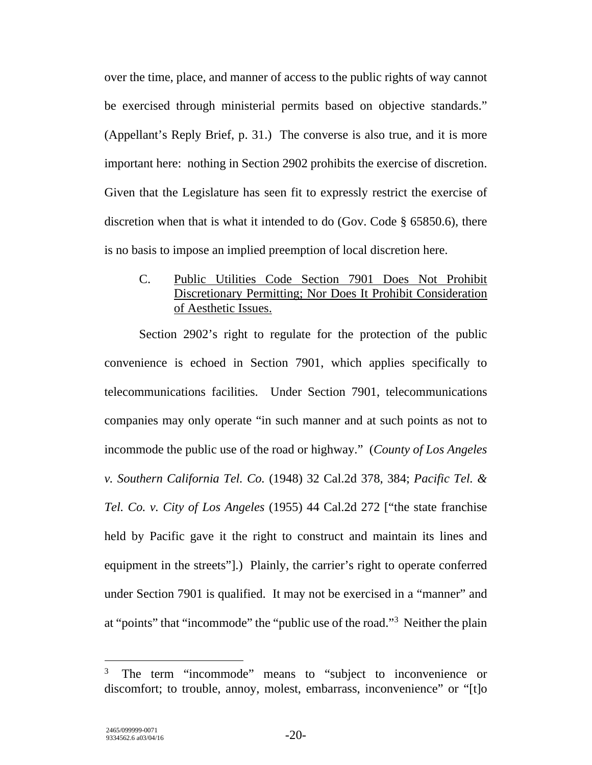over the time, place, and manner of access to the public rights of way cannot be exercised through ministerial permits based on objective standards." (Appellant's Reply Brief, p. 31.) The converse is also true, and it is more important here: nothing in Section 2902 prohibits the exercise of discretion. Given that the Legislature has seen fit to expressly restrict the exercise of discretion when that is what it intended to do (Gov. Code § 65850.6), there is no basis to impose an implied preemption of local discretion here.

## C. Public Utilities Code Section 7901 Does Not Prohibit Discretionary Permitting; Nor Does It Prohibit Consideration of Aesthetic Issues.

Section 2902's right to regulate for the protection of the public convenience is echoed in Section 7901, which applies specifically to telecommunications facilities. Under Section 7901, telecommunications companies may only operate "in such manner and at such points as not to incommode the public use of the road or highway." (*County of Los Angeles v. Southern California Tel. Co.* (1948) 32 Cal.2d 378, 384; *Pacific Tel. & Tel. Co. v. City of Los Angeles* (1955) 44 Cal.2d 272 ["the state franchise held by Pacific gave it the right to construct and maintain its lines and equipment in the streets"].) Plainly, the carrier's right to operate conferred under Section 7901 is qualified. It may not be exercised in a "manner" and at "points" that "incommode" the "public use of the road."3 Neither the plain

<sup>3</sup> The term "incommode" means to "subject to inconvenience or discomfort; to trouble, annoy, molest, embarrass, inconvenience" or "[t]o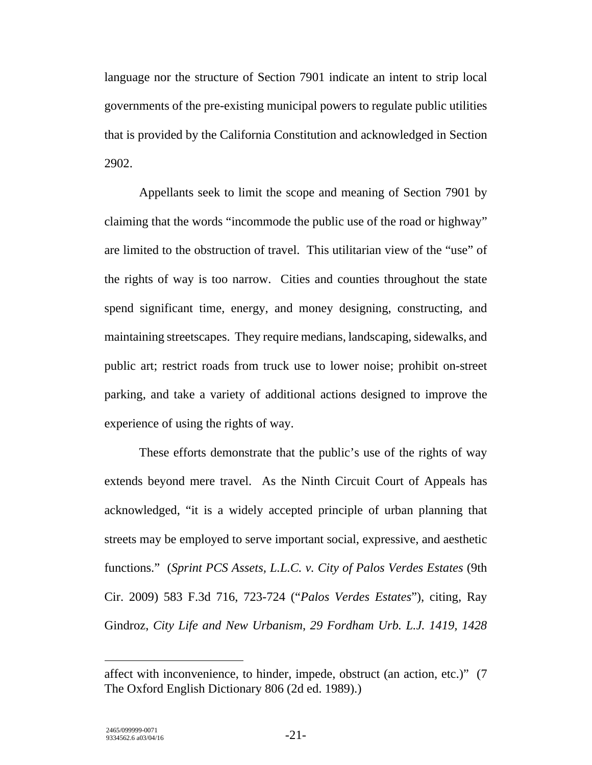language nor the structure of Section 7901 indicate an intent to strip local governments of the pre-existing municipal powers to regulate public utilities that is provided by the California Constitution and acknowledged in Section 2902.

Appellants seek to limit the scope and meaning of Section 7901 by claiming that the words "incommode the public use of the road or highway" are limited to the obstruction of travel. This utilitarian view of the "use" of the rights of way is too narrow. Cities and counties throughout the state spend significant time, energy, and money designing, constructing, and maintaining streetscapes. They require medians, landscaping, sidewalks, and public art; restrict roads from truck use to lower noise; prohibit on-street parking, and take a variety of additional actions designed to improve the experience of using the rights of way.

These efforts demonstrate that the public's use of the rights of way extends beyond mere travel. As the Ninth Circuit Court of Appeals has acknowledged, "it is a widely accepted principle of urban planning that streets may be employed to serve important social, expressive, and aesthetic functions." (*Sprint PCS Assets, L.L.C. v. City of Palos Verdes Estates* (9th Cir. 2009) 583 F.3d 716, 723-724 ("*Palos Verdes Estates*"), citing, Ray Gindroz, *City Life and New Urbanism*, *29 Fordham Urb. L.J. 1419, 1428* 

affect with inconvenience, to hinder, impede, obstruct (an action, etc.)" (7 The Oxford English Dictionary 806 (2d ed. 1989).)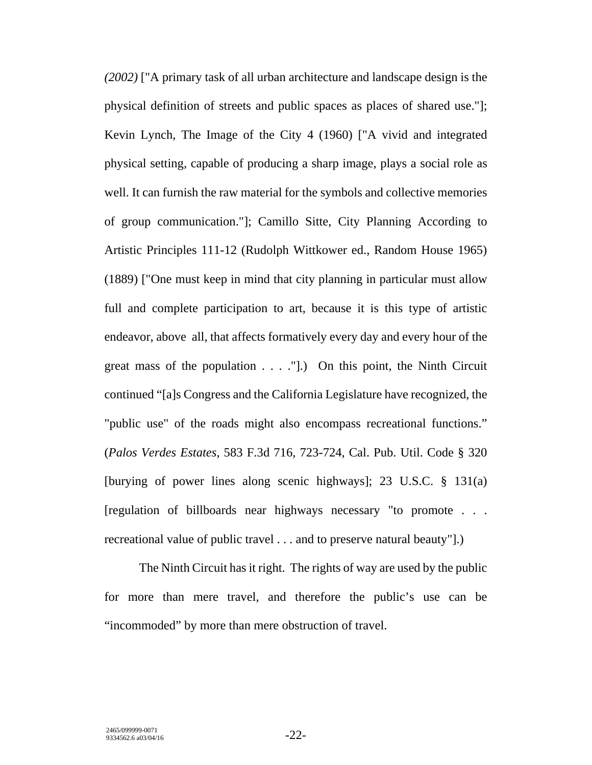*(2002)* ["A primary task of all urban architecture and landscape design is the physical definition of streets and public spaces as places of shared use."]; Kevin Lynch, The Image of the City 4 (1960) ["A vivid and integrated physical setting, capable of producing a sharp image, plays a social role as well. It can furnish the raw material for the symbols and collective memories of group communication."]; Camillo Sitte, City Planning According to Artistic Principles 111-12 (Rudolph Wittkower ed., Random House 1965) (1889) ["One must keep in mind that city planning in particular must allow full and complete participation to art, because it is this type of artistic endeavor, above all, that affects formatively every day and every hour of the great mass of the population . . . ."].) On this point, the Ninth Circuit continued "[a]s Congress and the California Legislature have recognized, the "public use" of the roads might also encompass recreational functions." (*Palos Verdes Estates,* 583 F.3d 716, 723-724, Cal. Pub. Util. Code § 320 [burying of power lines along scenic highways]; 23 U.S.C. § 131(a) [regulation of billboards near highways necessary "to promote . . . recreational value of public travel . . . and to preserve natural beauty"].)

The Ninth Circuit has it right. The rights of way are used by the public for more than mere travel, and therefore the public's use can be "incommoded" by more than mere obstruction of travel.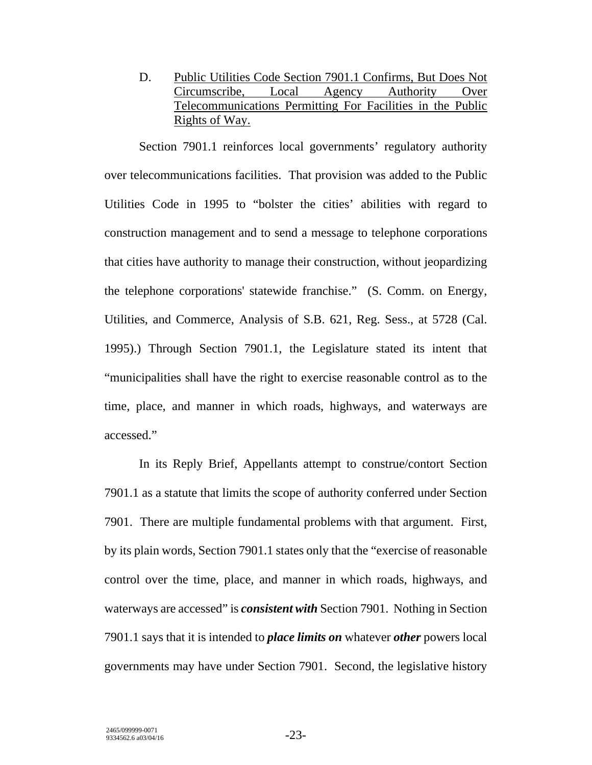D. Public Utilities Code Section 7901.1 Confirms, But Does Not Circumscribe, Local Agency Authority Over Telecommunications Permitting For Facilities in the Public Rights of Way.

Section 7901.1 reinforces local governments' regulatory authority over telecommunications facilities. That provision was added to the Public Utilities Code in 1995 to "bolster the cities' abilities with regard to construction management and to send a message to telephone corporations that cities have authority to manage their construction, without jeopardizing the telephone corporations' statewide franchise." (S. Comm. on Energy, Utilities, and Commerce, Analysis of S.B. 621, Reg. Sess., at 5728 (Cal. 1995).) Through Section 7901.1, the Legislature stated its intent that "municipalities shall have the right to exercise reasonable control as to the time, place, and manner in which roads, highways, and waterways are accessed."

In its Reply Brief, Appellants attempt to construe/contort Section 7901.1 as a statute that limits the scope of authority conferred under Section 7901. There are multiple fundamental problems with that argument. First, by its plain words, Section 7901.1 states only that the "exercise of reasonable control over the time, place, and manner in which roads, highways, and waterways are accessed" is *consistent with* Section 7901. Nothing in Section 7901.1 says that it is intended to *place limits on* whatever *other* powers local governments may have under Section 7901. Second, the legislative history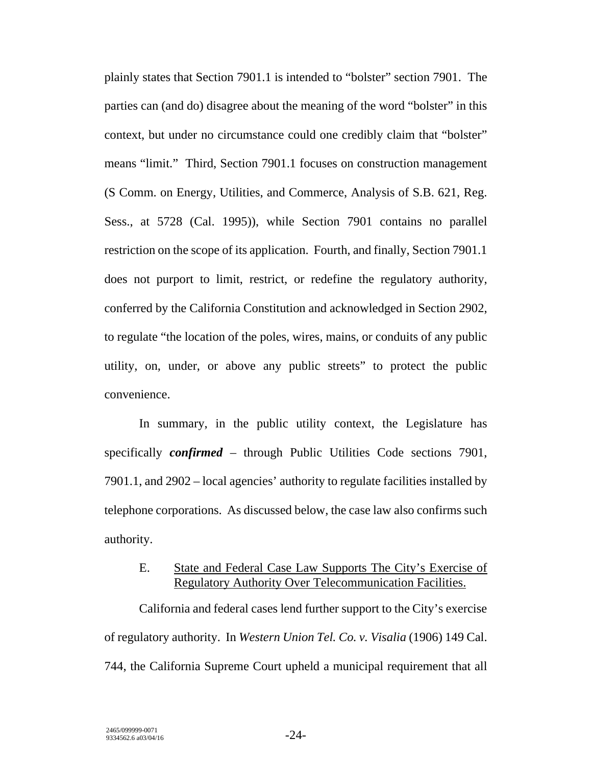plainly states that Section 7901.1 is intended to "bolster" section 7901. The parties can (and do) disagree about the meaning of the word "bolster" in this context, but under no circumstance could one credibly claim that "bolster" means "limit." Third, Section 7901.1 focuses on construction management (S Comm. on Energy, Utilities, and Commerce, Analysis of S.B. 621, Reg. Sess., at 5728 (Cal. 1995)), while Section 7901 contains no parallel restriction on the scope of its application. Fourth, and finally, Section 7901.1 does not purport to limit, restrict, or redefine the regulatory authority, conferred by the California Constitution and acknowledged in Section 2902, to regulate "the location of the poles, wires, mains, or conduits of any public utility, on, under, or above any public streets" to protect the public convenience.

In summary, in the public utility context, the Legislature has specifically *confirmed* – through Public Utilities Code sections 7901, 7901.1, and 2902 – local agencies' authority to regulate facilities installed by telephone corporations. As discussed below, the case law also confirms such authority.

### E. State and Federal Case Law Supports The City's Exercise of Regulatory Authority Over Telecommunication Facilities.

California and federal cases lend further support to the City's exercise of regulatory authority. In *Western Union Tel. Co. v. Visalia* (1906) 149 Cal. 744, the California Supreme Court upheld a municipal requirement that all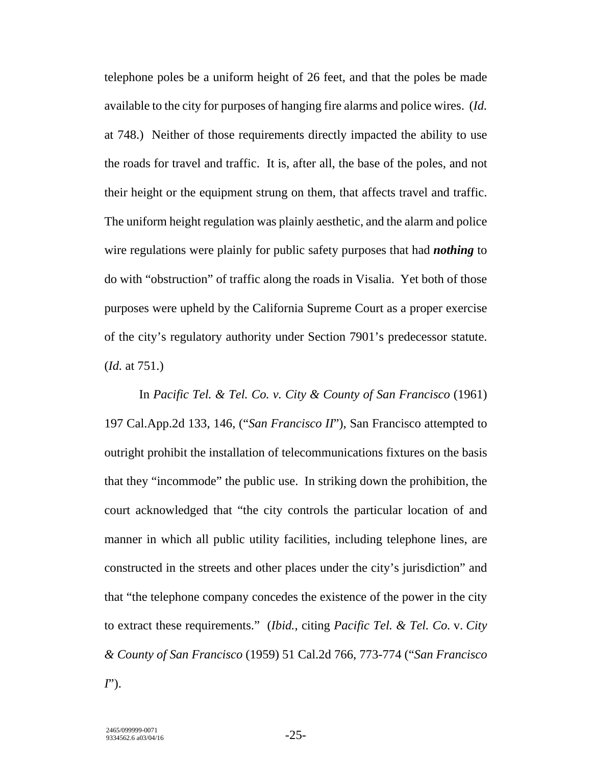telephone poles be a uniform height of 26 feet, and that the poles be made available to the city for purposes of hanging fire alarms and police wires. (*Id.*  at 748.) Neither of those requirements directly impacted the ability to use the roads for travel and traffic. It is, after all, the base of the poles, and not their height or the equipment strung on them, that affects travel and traffic. The uniform height regulation was plainly aesthetic, and the alarm and police wire regulations were plainly for public safety purposes that had *nothing* to do with "obstruction" of traffic along the roads in Visalia. Yet both of those purposes were upheld by the California Supreme Court as a proper exercise of the city's regulatory authority under Section 7901's predecessor statute. (*Id.* at 751.)

In *Pacific Tel. & Tel. Co. v. City & County of San Francisco* (1961) 197 Cal.App.2d 133, 146, ("*San Francisco II*"), San Francisco attempted to outright prohibit the installation of telecommunications fixtures on the basis that they "incommode" the public use. In striking down the prohibition, the court acknowledged that "the city controls the particular location of and manner in which all public utility facilities, including telephone lines, are constructed in the streets and other places under the city's jurisdiction" and that "the telephone company concedes the existence of the power in the city to extract these requirements." (*Ibid.*, citing *Pacific Tel. & Tel. Co.* v. *City & County of San Francisco* (1959) 51 Cal.2d 766, 773-774 ("*San Francisco I*").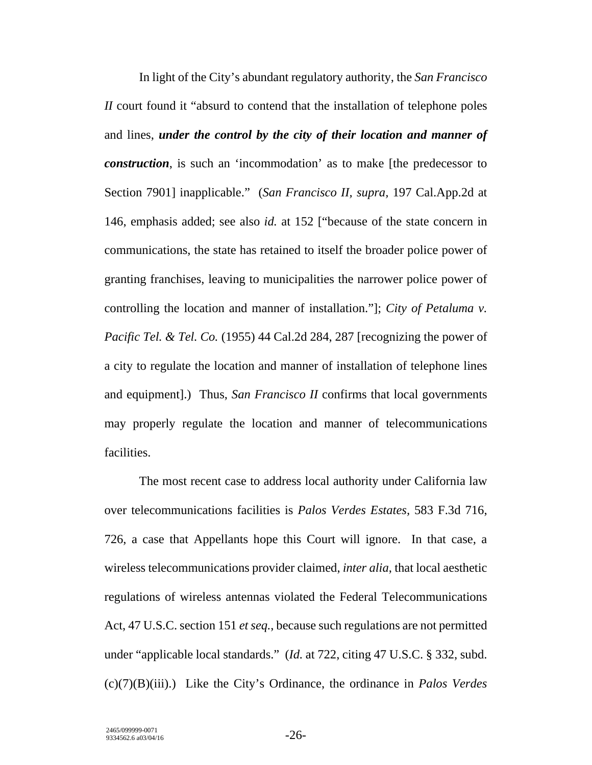In light of the City's abundant regulatory authority, the *San Francisco II* court found it "absurd to contend that the installation of telephone poles and lines, *under the control by the city of their location and manner of construction*, is such an 'incommodation' as to make [the predecessor to Section 7901] inapplicable." (*San Francisco II, supra,* 197 Cal.App.2d at 146, emphasis added; see also *id.* at 152 ["because of the state concern in communications, the state has retained to itself the broader police power of granting franchises, leaving to municipalities the narrower police power of controlling the location and manner of installation."]; *City of Petaluma v. Pacific Tel. & Tel. Co.* (1955) 44 Cal.2d 284, 287 [recognizing the power of a city to regulate the location and manner of installation of telephone lines and equipment].) Thus, *San Francisco II* confirms that local governments may properly regulate the location and manner of telecommunications facilities.

The most recent case to address local authority under California law over telecommunications facilities is *Palos Verdes Estates,* 583 F.3d 716, 726, a case that Appellants hope this Court will ignore. In that case, a wireless telecommunications provider claimed, *inter alia*, that local aesthetic regulations of wireless antennas violated the Federal Telecommunications Act, 47 U.S.C. section 151 *et seq.*, because such regulations are not permitted under "applicable local standards." (*Id.* at 722, citing 47 U.S.C. § 332, subd. (c)(7)(B)(iii).) Like the City's Ordinance, the ordinance in *Palos Verdes*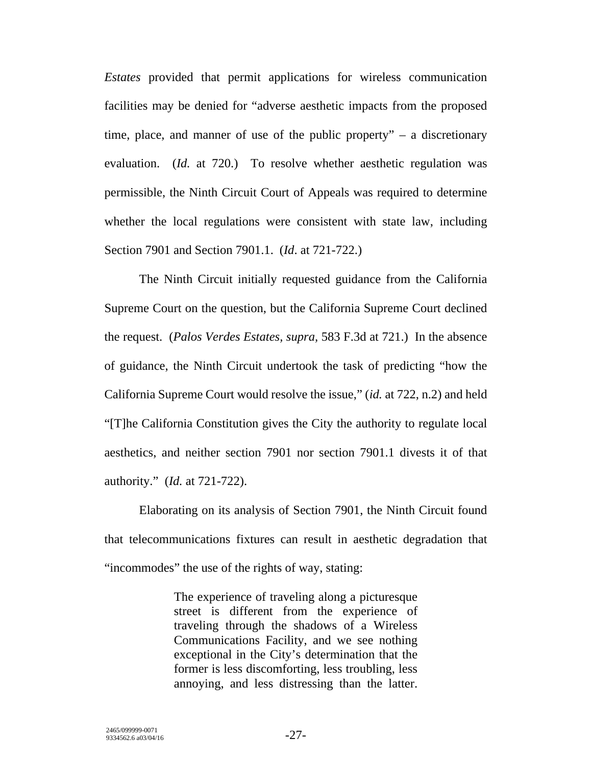*Estates* provided that permit applications for wireless communication facilities may be denied for "adverse aesthetic impacts from the proposed time, place, and manner of use of the public property"  $-$  a discretionary evaluation. (*Id.* at 720.) To resolve whether aesthetic regulation was permissible, the Ninth Circuit Court of Appeals was required to determine whether the local regulations were consistent with state law, including Section 7901 and Section 7901.1. (*Id*. at 721-722.)

The Ninth Circuit initially requested guidance from the California Supreme Court on the question, but the California Supreme Court declined the request. (*Palos Verdes Estates, supra,* 583 F.3d at 721.) In the absence of guidance, the Ninth Circuit undertook the task of predicting "how the California Supreme Court would resolve the issue," (*id.* at 722, n.2) and held "[T]he California Constitution gives the City the authority to regulate local aesthetics, and neither section 7901 nor section 7901.1 divests it of that authority." (*Id.* at 721-722).

Elaborating on its analysis of Section 7901, the Ninth Circuit found that telecommunications fixtures can result in aesthetic degradation that "incommodes" the use of the rights of way, stating:

> The experience of traveling along a picturesque street is different from the experience of traveling through the shadows of a Wireless Communications Facility, and we see nothing exceptional in the City's determination that the former is less discomforting, less troubling, less annoying, and less distressing than the latter.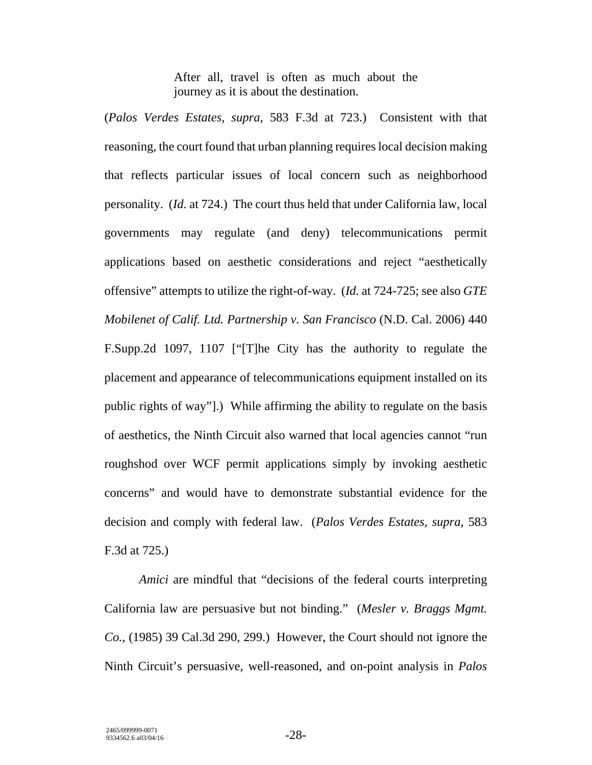After all, travel is often as much about the journey as it is about the destination.

(*Palos Verdes Estates, supra,* 583 F.3d at 723.) Consistent with that reasoning, the court found that urban planning requires local decision making that reflects particular issues of local concern such as neighborhood personality. (*Id.* at 724.) The court thus held that under California law, local governments may regulate (and deny) telecommunications permit applications based on aesthetic considerations and reject "aesthetically offensive" attempts to utilize the right-of-way. (*Id.* at 724-725; see also *GTE Mobilenet of Calif. Ltd. Partnership v. San Francisco* (N.D. Cal. 2006) 440 F.Supp.2d 1097, 1107 ["[T]he City has the authority to regulate the placement and appearance of telecommunications equipment installed on its public rights of way"].) While affirming the ability to regulate on the basis of aesthetics, the Ninth Circuit also warned that local agencies cannot "run roughshod over WCF permit applications simply by invoking aesthetic concerns" and would have to demonstrate substantial evidence for the decision and comply with federal law. (*Palos Verdes Estates, supra,* 583 F.3d at 725.)

*Amici* are mindful that "decisions of the federal courts interpreting California law are persuasive but not binding." (*Mesler v. Braggs Mgmt. Co.*, (1985) 39 Cal.3d 290, 299.) However, the Court should not ignore the Ninth Circuit's persuasive, well-reasoned, and on-point analysis in *Palos*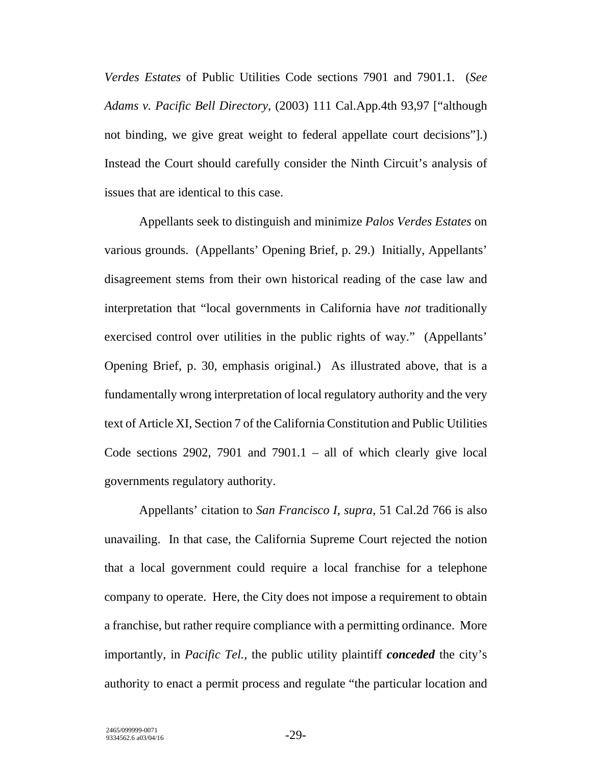*Verdes Estates* of Public Utilities Code sections 7901 and 7901.1. (*See Adams v. Pacific Bell Directory*, (2003) 111 Cal.App.4th 93,97 ["although not binding, we give great weight to federal appellate court decisions"].) Instead the Court should carefully consider the Ninth Circuit's analysis of issues that are identical to this case.

Appellants seek to distinguish and minimize *Palos Verdes Estates* on various grounds. (Appellants' Opening Brief, p. 29.) Initially, Appellants' disagreement stems from their own historical reading of the case law and interpretation that "local governments in California have *not* traditionally exercised control over utilities in the public rights of way." (Appellants' Opening Brief, p. 30, emphasis original.) As illustrated above, that is a fundamentally wrong interpretation of local regulatory authority and the very text of Article XI, Section 7 of the California Constitution and Public Utilities Code sections 2902, 7901 and 7901.1 – all of which clearly give local governments regulatory authority.

Appellants' citation to *San Francisco I, supra,* 51 Cal.2d 766 is also unavailing. In that case, the California Supreme Court rejected the notion that a local government could require a local franchise for a telephone company to operate. Here, the City does not impose a requirement to obtain a franchise, but rather require compliance with a permitting ordinance. More importantly, in *Pacific Tel.,* the public utility plaintiff *conceded* the city's authority to enact a permit process and regulate "the particular location and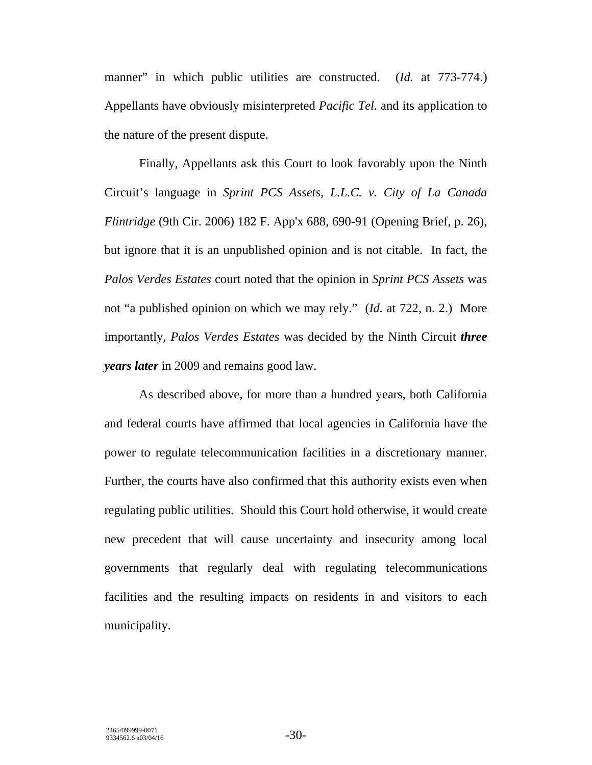manner" in which public utilities are constructed. (*Id.* at 773-774.) Appellants have obviously misinterpreted *Pacific Tel.* and its application to the nature of the present dispute.

Finally, Appellants ask this Court to look favorably upon the Ninth Circuit's language in *Sprint PCS Assets, L.L.C. v. City of La Canada Flintridge* (9th Cir. 2006) 182 F. App'x 688, 690-91 (Opening Brief, p. 26), but ignore that it is an unpublished opinion and is not citable. In fact, the *Palos Verdes Estates* court noted that the opinion in *Sprint PCS Assets* was not "a published opinion on which we may rely." (*Id.* at 722, n. 2.) More importantly, *Palos Verdes Estates* was decided by the Ninth Circuit *three years later* in 2009 and remains good law.

As described above, for more than a hundred years, both California and federal courts have affirmed that local agencies in California have the power to regulate telecommunication facilities in a discretionary manner. Further, the courts have also confirmed that this authority exists even when regulating public utilities. Should this Court hold otherwise, it would create new precedent that will cause uncertainty and insecurity among local governments that regularly deal with regulating telecommunications facilities and the resulting impacts on residents in and visitors to each municipality.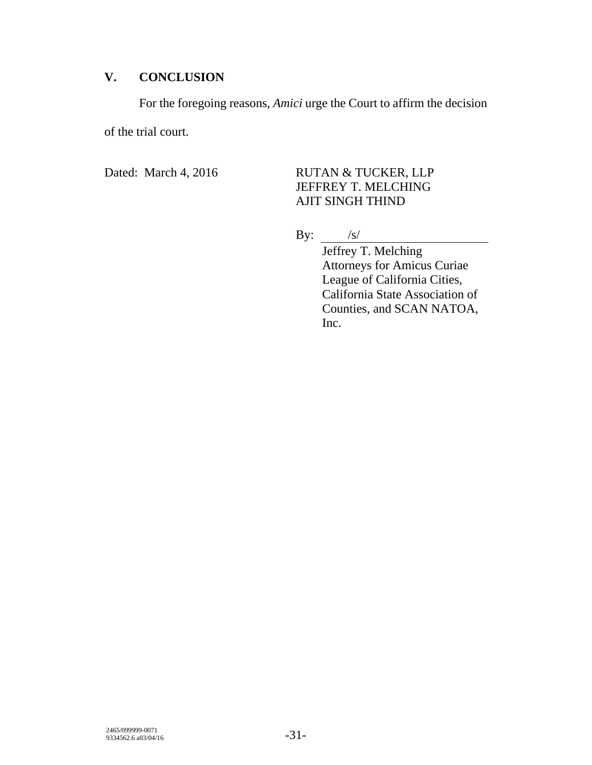# **V. CONCLUSION**

For the foregoing reasons, *Amici* urge the Court to affirm the decision

of the trial court.

# Dated: March 4, 2016 RUTAN & TUCKER, LLP JEFFREY T. MELCHING AJIT SINGH THIND

By:  $/s/$ 

Jeffrey T. Melching Attorneys for Amicus Curiae League of California Cities, California State Association of Counties, and SCAN NATOA, Inc.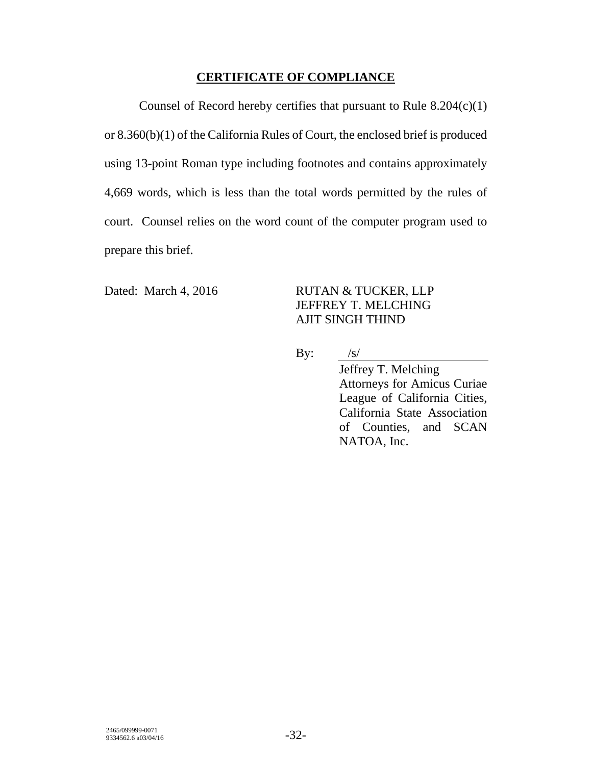## **CERTIFICATE OF COMPLIANCE**

Counsel of Record hereby certifies that pursuant to Rule 8.204(c)(1) or 8.360(b)(1) of the California Rules of Court, the enclosed brief is produced using 13-point Roman type including footnotes and contains approximately 4,669 words, which is less than the total words permitted by the rules of court. Counsel relies on the word count of the computer program used to prepare this brief.

### Dated: March 4, 2016 RUTAN & TUCKER, LLP JEFFREY T. MELCHING AJIT SINGH THIND

By:  $/s/$ 

Jeffrey T. Melching Attorneys for Amicus Curiae League of California Cities, California State Association of Counties, and SCAN NATOA, Inc.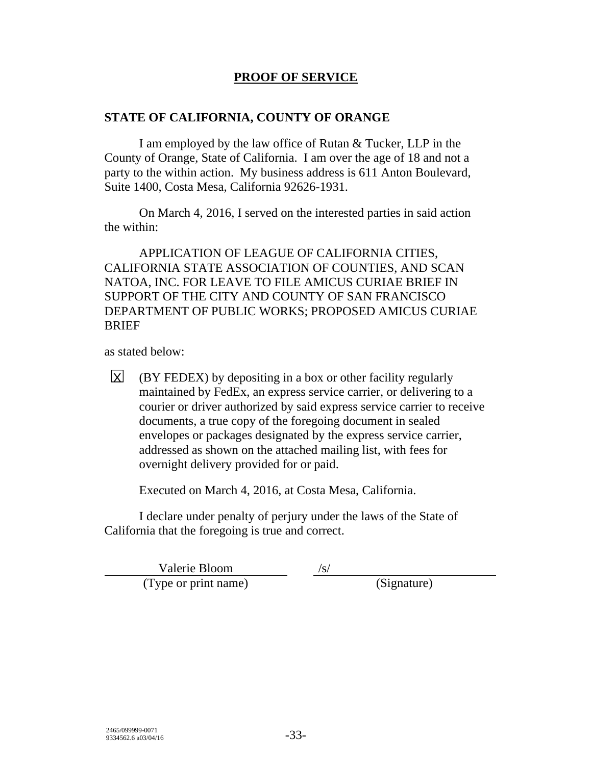## **PROOF OF SERVICE**

### **STATE OF CALIFORNIA, COUNTY OF ORANGE**

I am employed by the law office of Rutan & Tucker, LLP in the County of Orange, State of California. I am over the age of 18 and not a party to the within action. My business address is 611 Anton Boulevard, Suite 1400, Costa Mesa, California 92626-1931.

On March 4, 2016, I served on the interested parties in said action the within:

APPLICATION OF LEAGUE OF CALIFORNIA CITIES, CALIFORNIA STATE ASSOCIATION OF COUNTIES, AND SCAN NATOA, INC. FOR LEAVE TO FILE AMICUS CURIAE BRIEF IN SUPPORT OF THE CITY AND COUNTY OF SAN FRANCISCO DEPARTMENT OF PUBLIC WORKS; PROPOSED AMICUS CURIAE **BRIEF** 

as stated below:

(BY FEDEX) by depositing in a box or other facility regularly maintained by FedEx, an express service carrier, or delivering to a courier or driver authorized by said express service carrier to receive documents, a true copy of the foregoing document in sealed envelopes or packages designated by the express service carrier, addressed as shown on the attached mailing list, with fees for overnight delivery provided for or paid.  $|X|$ 

Executed on March 4, 2016, at Costa Mesa, California.

I declare under penalty of perjury under the laws of the State of California that the foregoing is true and correct.

Valerie Bloom /s/ (Type or print name) (Signature)